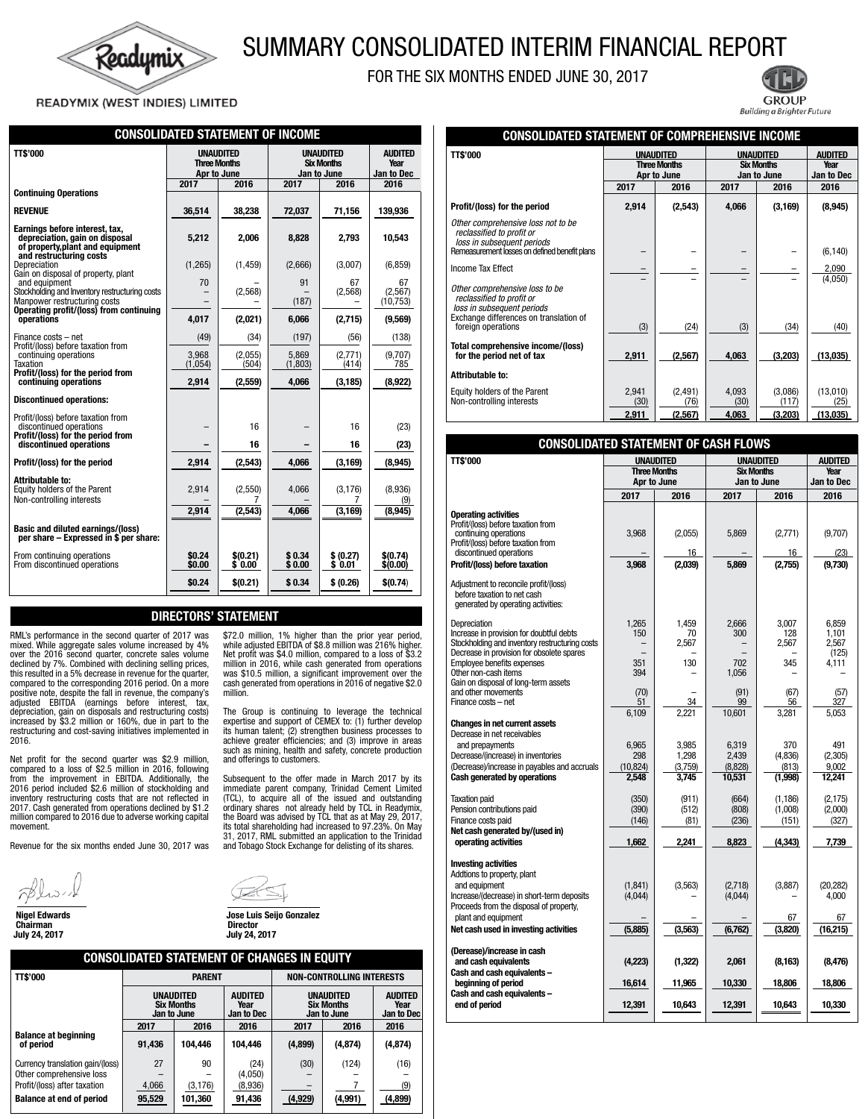

# SUMMARY CONSOLIDATED INTERIM FINANCIAL REPORT

FOR THE SIX MONTHS ENDED JUNE 30, 2017

READYMIX (WEST INDIES) LIMITED

| <b>CONSOLIDATED STATEMENT OF INCOME</b>                                                                                                                  |                                                        |                    |                                                      |                     |                                      |  |
|----------------------------------------------------------------------------------------------------------------------------------------------------------|--------------------------------------------------------|--------------------|------------------------------------------------------|---------------------|--------------------------------------|--|
| TT\$'000                                                                                                                                                 | <b>UNAUDITED</b><br><b>Three Months</b><br>Apr to June |                    | <b>UNAUDITED</b><br><b>Six Months</b><br>Jan to June |                     | <b>AUDITED</b><br>Year<br>Jan to Dec |  |
| <b>Continuing Operations</b>                                                                                                                             | 2017                                                   | 2016               | 2017                                                 | 2016                | 2016                                 |  |
| <b>REVENUE</b>                                                                                                                                           | 36,514                                                 | 38,238             | 72,037                                               | 71,156              | 139,936                              |  |
| Earnings before interest, tax,<br>depreciation, gain on disposal<br>of property, plant and equipment<br>and restructuring costs                          | 5,212                                                  | 2.006              | 8,828                                                | 2,793               | 10.543                               |  |
| Depreciation<br>Gain on disposal of property, plant                                                                                                      | (1,265)                                                | (1, 459)           | (2,666)                                              | (3,007)             | (6, 859)                             |  |
| and equipment<br>Stockholding and Inventory restructuring costs<br>Manpower restructuring costs<br>Operating profit/(loss) from continuing<br>operations | 70                                                     | (2,568)            | 91<br>(187)                                          | 67<br>(2,568)       | 67<br>(2,567)<br>(10, 753)           |  |
|                                                                                                                                                          | 4,017                                                  | (2,021)            | 6,066                                                | (2,715)             | (9,569)                              |  |
| Finance costs - net                                                                                                                                      | (49)                                                   | (34)               | (197)                                                | (56)                | (138)                                |  |
| Profit/(loss) before taxation from<br>continuing operations<br>Taxation<br>Profit/(loss) for the period from                                             | 3,968<br>(1,054)                                       | (2,055)<br>(504)   | 5.869<br>(1,803)                                     | (2,771)<br>(414)    | (9,707)<br>785                       |  |
| continuing operations                                                                                                                                    | 2,914                                                  | (2,559)            | 4.066                                                | (3, 185)            | (8,922)                              |  |
| <b>Discontinued operations:</b>                                                                                                                          |                                                        |                    |                                                      |                     |                                      |  |
| Profit/(loss) before taxation from<br>discontinued operations<br>Profit/(loss) for the period from                                                       |                                                        | 16                 |                                                      | 16                  | (23)                                 |  |
| discontinued operations                                                                                                                                  |                                                        | 16                 |                                                      | 16                  | (23)                                 |  |
| Profit/(loss) for the period                                                                                                                             | 2,914                                                  | (2,543)            | 4,066                                                | (3, 169)            | (8,945)                              |  |
| Attributable to:<br>Equity holders of the Parent<br>Non-controlling interests                                                                            | 2,914                                                  | (2,550)<br>7       | 4,066                                                | (3, 176)<br>7       | (8,936)<br>(9)                       |  |
|                                                                                                                                                          | 2,914                                                  | (2, 543)           | 4,066                                                | (3, 169)            | (8,945)                              |  |
| <b>Basic and diluted earnings/(loss)</b><br>per share - Expressed in \$ per share:                                                                       |                                                        |                    |                                                      |                     |                                      |  |
| From continuing operations<br>From discontinued operations                                                                                               | \$0.24<br>\$0.00                                       | \$(0.21)<br>\$0.00 | \$0.34<br>\$0.00                                     | \$ (0.27)<br>\$0.01 | \$(0.74)<br>\$(0.00)                 |  |
|                                                                                                                                                          | \$0.24                                                 | \$(0.21)           | \$0.34                                               | \$ (0.26)           | \$(0.74)                             |  |

# DIRECTORS' STATEMENT

million.

RML's performance in the second quarter of 2017 was mixed. While aggregate sales volume increased by 4% over the 2016 second quarter, concrete sales volume declined by 7%. Combined with declining selling prices, this resulted in a 5% decrease in revenue for the quarter, compared to the corresponding 2016 period. On a more positive note, despite the fall in revenue, the company's adjusted EBITDA (earnings before interest, tax, depreciation, gain on disposals and restructuring costs) increased by \$3.2 million or 160%, due in part to the restructuring and cost-saving initiatives implemented in 2016.

Net profit for the second quarter was \$2.9 million, compared to a loss of \$2.5 million in 2016, following from the improvement in EBITDA. Additionally, the 2016 period included \$2.6 million of stockholding and inventory restructuring costs that are not reflected in 2017. Cash generated from operations declined by \$1.2 million compared to 2016 due to adverse working capital movement.

Revenue for the six months ended June 30, 2017 was

Chairman<br>July 24, 2017



 Nigel Edwards Jose Luis Seijo Gonzalez Director<br>July 24, 2017

and offerings to customers.

\$72.0 million, 1% higher than the prior year period, while adjusted EBITDA of \$8.8 million was 216% higher. Net profit was \$4.0 million, compared to a loss of \$3.2 million in 2016, while cash generated from operations was \$10.5 million, a significant improvement over the cash generated from operations in 2016 of negative \$2.0

The Group is continuing to leverage the technical expertise and support of CEMEX to: (1) further develop its human talent; (2) strengthen business processes to achieve greater efficiencies; and (3) improve in areas such as mining, health and safety, concrete production

Subsequent to the offer made in March 2017 by its immediate parent company, Trinidad Cement Limited (TCL), to acquire all of the issued and outstanding ordinary shares not already held by TCL in Readymix, the Board was advised by TCL that as at May 29, 2017, its total shareholding had increased to 97.23%. On May 31, 2017, RML submitted an application to the Trinidad and Tobago Stock Exchange for delisting of its shares.

| <b>CONSOLIDATED STATEMENT OF CHANGES IN EQUITY</b> |        |                                               |                                      |                                               |                                      |          |  |
|----------------------------------------------------|--------|-----------------------------------------------|--------------------------------------|-----------------------------------------------|--------------------------------------|----------|--|
| <b>TT\$'000</b>                                    |        | <b>PARENT</b>                                 |                                      | <b>NON-CONTROLLING INTERESTS</b>              |                                      |          |  |
|                                                    |        | UNAUDITED<br><b>Six Months</b><br>Jan to June | <b>AUDITED</b><br>Year<br>Jan to Dec | UNAUDITED<br><b>Six Months</b><br>Jan to June | <b>AUDITED</b><br>Year<br>Jan to Dec |          |  |
|                                                    | 2017   | 2016                                          | 2016                                 | 2017                                          | 2016                                 | 2016     |  |
| <b>Balance at beginning</b><br>of period           | 91,436 | 104.446                                       | 104.446                              | (4,899)                                       | (4, 874)                             | (4, 874) |  |
| Currency translation gain/(loss)                   | 27     | 90                                            | (24)                                 | (30)                                          | (124)                                | (16)     |  |
| Other comprehensive loss                           | -      |                                               | (4,050)                              |                                               |                                      |          |  |
| Profit/(loss) after taxation                       | 4,066  | (3, 176)                                      | (8,936)                              |                                               |                                      | (9)      |  |
| <b>Balance at end of period</b>                    | 95,529 | 101,360                                       | 91,436                               | (4, 929)                                      | (4,991)                              | (4,899)  |  |



| <b>CONSOLIDATED STATEMENT OF COMPREHENSIVE INCOME</b>                                                                               |                                                        |                  |                                                      |                  |                                             |  |
|-------------------------------------------------------------------------------------------------------------------------------------|--------------------------------------------------------|------------------|------------------------------------------------------|------------------|---------------------------------------------|--|
| <b>TT\$'000</b>                                                                                                                     | <b>UNAUDITED</b><br><b>Three Months</b><br>Apr to June |                  | <b>UNAUDITED</b><br><b>Six Months</b><br>Jan to June |                  | <b>AUDITED</b><br>Year<br><b>Jan to Dec</b> |  |
|                                                                                                                                     | 2017                                                   | 2016             | 2017                                                 | 2016             | 2016                                        |  |
| Profit/(loss) for the period                                                                                                        | 2,914                                                  | (2,543)          | 4,066                                                | (3, 169)         | (8, 945)                                    |  |
| Other comprehensive loss not to be<br>reclassified to profit or<br>loss in subsequent periods                                       |                                                        |                  |                                                      |                  |                                             |  |
| Remeasurement losses on defined benefit plans                                                                                       |                                                        |                  |                                                      |                  | (6, 140)                                    |  |
| Income Tax Effect                                                                                                                   |                                                        |                  |                                                      |                  | 2,090                                       |  |
| Other comprehensive loss to be<br>reclassified to profit or<br>loss in subsequent periods<br>Exchange differences on translation of |                                                        |                  |                                                      |                  | (4,050)                                     |  |
| foreign operations                                                                                                                  | (3)                                                    | (24)             | (3)                                                  | (34)             | (40)                                        |  |
| Total comprehensive income/(loss)<br>for the period net of tax                                                                      | 2,911                                                  | (2,567)          | 4,063                                                | (3,203)          | (13,035)                                    |  |
| Attributable to:                                                                                                                    |                                                        |                  |                                                      |                  |                                             |  |
| Equity holders of the Parent<br>Non-controlling interests                                                                           | 2.941<br>(30)                                          | (2, 491)<br>(76) | 4,093<br>(30)                                        | (3,086)<br>(117) | (13,010)<br>(25)                            |  |
|                                                                                                                                     | <u>2,911</u>                                           | (2,567)          | 4,063                                                | <u>(3,203)</u>   | (13,035)                                    |  |

| <b>CONSOLIDATED STATEMENT OF CASH FLOWS</b>                                                                                                                                                                  |                                             |                                             |                                               |                                             |                                            |
|--------------------------------------------------------------------------------------------------------------------------------------------------------------------------------------------------------------|---------------------------------------------|---------------------------------------------|-----------------------------------------------|---------------------------------------------|--------------------------------------------|
| TT\$'000                                                                                                                                                                                                     |                                             | <b>UNAUDITED</b>                            | <b>UNAUDITED</b>                              | <b>AUDITED</b>                              |                                            |
|                                                                                                                                                                                                              | <b>Three Months</b><br>Apr to June          |                                             | <b>Six Months</b><br>Jan to June              |                                             | Year<br>Jan to Dec                         |
|                                                                                                                                                                                                              | 2017                                        | 2016                                        | 2017                                          | 2016                                        | 2016                                       |
| <b>Operating activities</b><br>Profit/(loss) before taxation from<br>continuing operations<br>Profit/(loss) before taxation from<br>discontinued operations                                                  | 3,968                                       | (2,055)<br>16                               | 5,869                                         | (2,771)<br>16                               | (9,707)<br>(23)                            |
| Profit/(loss) before taxation                                                                                                                                                                                | 3,968                                       | (2,039)                                     | 5.869                                         | (2,755)                                     | (9,730)                                    |
| Adjustment to reconcile profit/(loss)<br>before taxation to net cash<br>generated by operating activities:                                                                                                   |                                             |                                             |                                               |                                             |                                            |
| Depreciation<br>Increase in provision for doubtful debts<br>Stockholding and inventory restructuring costs<br>Decrease in provision for obsolete spares                                                      | 1.265<br>150                                | 1.459<br>70<br>2,567                        | 2.666<br>300                                  | 3.007<br>128<br>2,567                       | 6.859<br>1.101<br>2,567<br>(125)           |
| Employee benefits expenses<br>Other non-cash items<br>Gain on disposal of long-term assets                                                                                                                   | 351<br>394                                  | 130                                         | 702<br>1.056                                  | 345                                         | 4,111                                      |
| and other movements<br>Finance costs - net                                                                                                                                                                   | (70)<br>51                                  | 34                                          | (91)<br>99                                    | (67)<br>56                                  | (57)<br>327                                |
| Changes in net current assets<br>Decrease in net receivables<br>and prepayments<br>Decrease/(increase) in inventories<br>(Decrease)/increase in payables and accruals<br><b>Cash generated by operations</b> | 6,109<br>6,965<br>298<br>(10, 824)<br>2,548 | 2,221<br>3.985<br>1,298<br>(3,759)<br>3,745 | 10,601<br>6.319<br>2.439<br>(8,828)<br>10,531 | 3,281<br>370<br>(4,836)<br>(813)<br>(1,998) | 5,053<br>491<br>(2,305)<br>9,002<br>12,241 |
| <b>Taxation paid</b><br>Pension contributions paid<br>Finance costs paid<br>Net cash generated by/(used in)<br>operating activities                                                                          | (350)<br>(390)<br>(146)<br>1,662            | (911)<br>(512)<br>(81)<br>2,241             | (664)<br>(808)<br>(236)<br>8,823              | (1, 186)<br>(1,008)<br>(151)<br>(4, 343)    | (2, 175)<br>(2,000)<br>(327)<br>7,739      |
| <b>Investing activities</b><br>Addtions to property, plant<br>and equipment<br>Increase/(decrease) in short-term deposits<br>Proceeds from the disposal of property,<br>plant and equipment                  | (1, 841)<br>(4,044)                         | (3,563)                                     | (2,718)<br>(4,044)                            | (3,887)<br>67                               | (20, 282)<br>4,000<br>67                   |
| Net cash used in investing activities                                                                                                                                                                        | (5,885)                                     | (3,563)                                     | (6,762)                                       | (3,820)                                     | (16, 215)                                  |
| (Derease)/increase in cash<br>and cash equivalents<br>Cash and cash equivalents -<br>beginning of period                                                                                                     | (4,223)<br>16,614                           | (1,322)<br>11,965                           | 2,061<br>10,330                               | (8, 163)<br>18,806                          | (8, 476)<br>18,806                         |
| Cash and cash equivalents -                                                                                                                                                                                  |                                             |                                             |                                               |                                             |                                            |
| end of period                                                                                                                                                                                                | 12,391                                      | 10,643                                      | 12,391                                        | 10,643                                      | 10,330                                     |